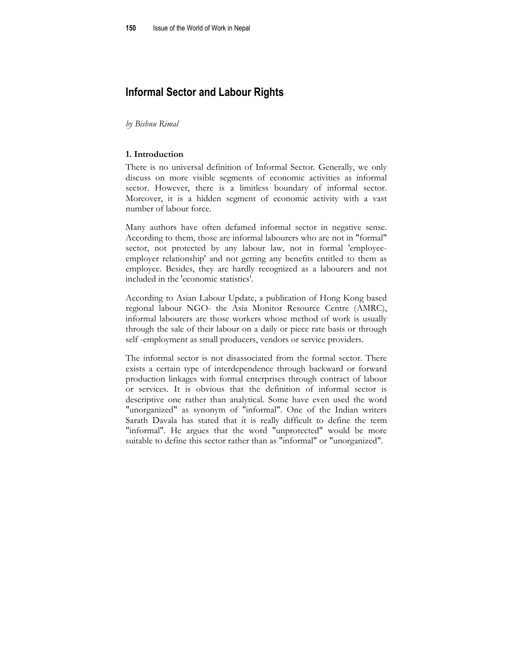# **Informal Sector and Labour Rights**

*by Bishnu Rimal* 

#### **1. Introduction**

There is no universal definition of Informal Sector. Generally, we only discuss on more visible segments of economic activities as informal sector. However, there is a limitless boundary of informal sector. Moreover, it is a hidden segment of economic activity with a vast number of labour force.

Many authors have often defamed informal sector in negative sense. According to them, those are informal labourers who are not in "formal" sector, not protected by any labour law, not in formal 'employeeemployer relationship' and not getting any benefits entitled to them as employee. Besides, they are hardly recognized as a labourers and not included in the 'economic statistics'.

According to Asian Labour Update, a publication of Hong Kong based regional labour NGO- the Asia Monitor Resource Centre (AMRC), informal labourers are those workers whose method of work is usually through the sale of their labour on a daily or piece rate basis or through self -employment as small producers, vendors or service providers.

The informal sector is not disassociated from the formal sector. There exists a certain type of interdependence through backward or forward production linkages with formal enterprises through contract of labour or services. It is obvious that the definition of informal sector is descriptive one rather than analytical. Some have even used the word "unorganized" as synonym of "informal". One of the Indian writers Sarath Davala has stated that it is really difficult to define the term "informal". He argues that the word "unprotected" would be more suitable to define this sector rather than as "informal" or "unorganized".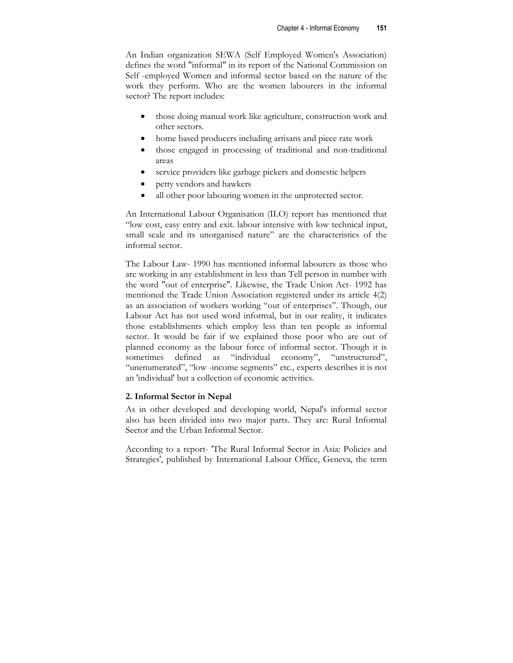An Indian organization SEWA (Self Employed Women's Association) defines the word "informal" in its report of the National Commission on Self -employed Women and informal sector based on the nature of the work they perform. Who are the women labourers in the informal sector? The report includes:

- those doing manual work like agriculture, construction work and other sectors.
- home based producers including artisans and piece rate work
- those engaged in processing of traditional and non-traditional areas
- service providers like garbage pickers and domestic helpers
- petty vendors and hawkers
- all other poor labouring women in the unprotected sector.

An International Labour Organisation (ILO) report has mentioned that "low cost, easy entry and exit. labour intensive with low technical input, small scale and its unorganised nature" are the characteristics of the informal sector.

The Labour Law- 1990 has mentioned informal labourers as those who are working in any establishment in less than Tell person in number with the word "out of enterprise". Likewise, the Trade Union Act- 1992 has mentioned the Trade Union Association registered under its article 4(2) as an association of workers working "out of enterprises". Though, our Labour Act has not used word informal, but in our reality, it indicates those establishments which employ less than ten people as informal sector. It would be fair if we explained those poor who are out of planned economy as the labour force of informal sector. Though it is sometimes defined as "individual economy", "unstructured", "unenumerated", "low -income segments" etc., experts describes it is not an 'individual' but a collection of economic activities.

## **2. Informal Sector in Nepal**

As in other developed and developing world, Nepal's informal sector also has been divided into two major parts. They are: Rural Informal Sector and the Urban Informal Sector.

According to a report- 'The Rural Informal Sector in Asia: Policies and Strategies', published by International Labour Office, Geneva, the term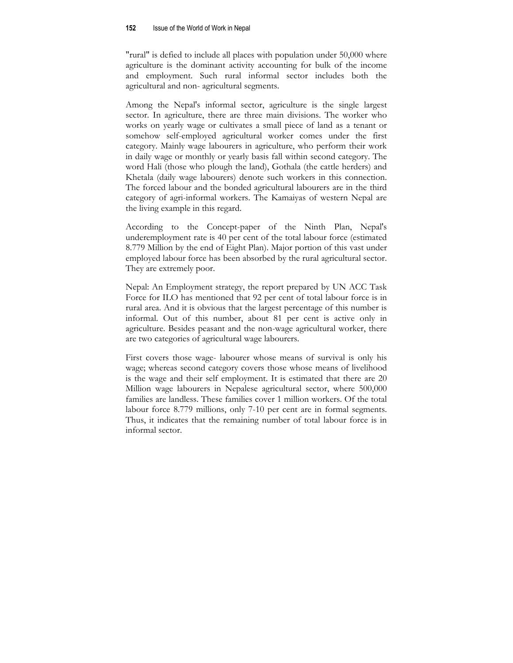"rural" is defied to include all places with population under 50,000 where agriculture is the dominant activity accounting for bulk of the income and employment. Such rural informal sector includes both the agricultural and non- agricultural segments.

Among the Nepal's informal sector, agriculture is the single largest sector. In agriculture, there are three main divisions. The worker who works on yearly wage or cultivates a small piece of land as a tenant or somehow self-employed agricultural worker comes under the first category. Mainly wage labourers in agriculture, who perform their work in daily wage or monthly or yearly basis fall within second category. The word Hali (those who plough the land), Gothala (the cattle herders) and Khetala (daily wage labourers) denote such workers in this connection. The forced labour and the bonded agricultural labourers are in the third category of agri-informal workers. The Kamaiyas of western Nepal are the living example in this regard.

According to the Concept-paper of the Ninth Plan, Nepal's underemployment rate is 40 per cent of the total labour force (estimated 8.779 Million by the end of Eight Plan). Major portion of this vast under employed labour force has been absorbed by the rural agricultural sector. They are extremely poor.

Nepal: An Employment strategy, the report prepared by UN ACC Task Force for ILO has mentioned that 92 per cent of total labour force is in rural area. And it is obvious that the largest percentage of this number is informal. Out of this number, about 81 per cent is active only in agriculture. Besides peasant and the non-wage agricultural worker, there are two categories of agricultural wage labourers.

First covers those wage- labourer whose means of survival is only his wage; whereas second category covers those whose means of livelihood is the wage and their self employment. It is estimated that there are 20 Million wage labourers in Nepalese agricultural sector, where 500,000 families are landless. These families cover 1 million workers. Of the total labour force 8.779 millions, only 7-10 per cent are in formal segments. Thus, it indicates that the remaining number of total labour force is in informal sector.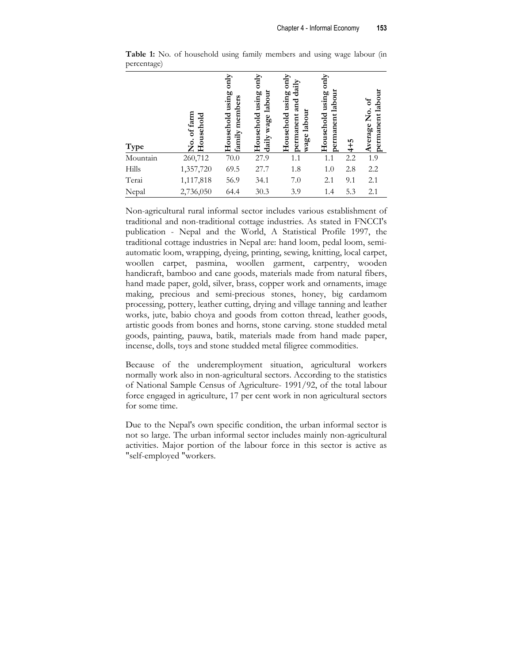| Type     | <b>Jo.</b> of farm<br>Household | only<br>Household using<br>family members | $rac{M_N}{N}$<br>Household using<br>labour<br>wage<br>daily | Household using only<br>$d$ aily<br>and<br>wage labour<br>permanent | only<br>permanent labour<br>using<br>Household | $4 + 5$ | permanent labour<br>Average No. of |
|----------|---------------------------------|-------------------------------------------|-------------------------------------------------------------|---------------------------------------------------------------------|------------------------------------------------|---------|------------------------------------|
| Mountain | 260,712                         | 70.0                                      | 27.9                                                        | 1.1                                                                 | 1.1                                            | 2.2     | 1.9                                |
| Hills    | 1,357,720                       | 69.5                                      | 27.7                                                        | 1.8                                                                 | 1.0                                            | 2.8     | 2.2                                |
| Terai    | 1,117,818                       | 56.9                                      | 34.1                                                        | 7.0                                                                 | 2.1                                            | 9.1     | 2.1                                |
| Nepal    | 2,736,050                       | 64.4                                      | 30.3                                                        | 3.9                                                                 | 1.4                                            | 5.3     | 2.1                                |

**Table 1:** No. of household using family members and using wage labour (in percentage)

Non-agricultural rural informal sector includes various establishment of traditional and non-traditional cottage industries. As stated in FNCCI's publication - Nepal and the World, A Statistical Profile 1997, the traditional cottage industries in Nepal are: hand loom, pedal loom, semiautomatic loom, wrapping, dyeing, printing, sewing, knitting, local carpet, woollen carpet, pasmina, woollen garment, carpentry, wooden handicraft, bamboo and cane goods, materials made from natural fibers, hand made paper, gold, silver, brass, copper work and ornaments, image making, precious and semi-precious stones, honey, big cardamom processing, pottery, leather cutting, drying and village tanning and leather works, jute, babio choya and goods from cotton thread, leather goods, artistic goods from bones and horns, stone carving. stone studded metal goods, painting, pauwa, batik, materials made from hand made paper, incense, dolls, toys and stone studded metal filigree commodities.

Because of the underemployment situation, agricultural workers normally work also in non-agricultural sectors. According to the statistics of National Sample Census of Agriculture- 1991/92, of the total labour force engaged in agriculture, 17 per cent work in non agricultural sectors for some time.

Due to the Nepal's own specific condition, the urban informal sector is not so large. The urban informal sector includes mainly non-agricultural activities. Major portion of the labour force in this sector is active as "self-employed "workers.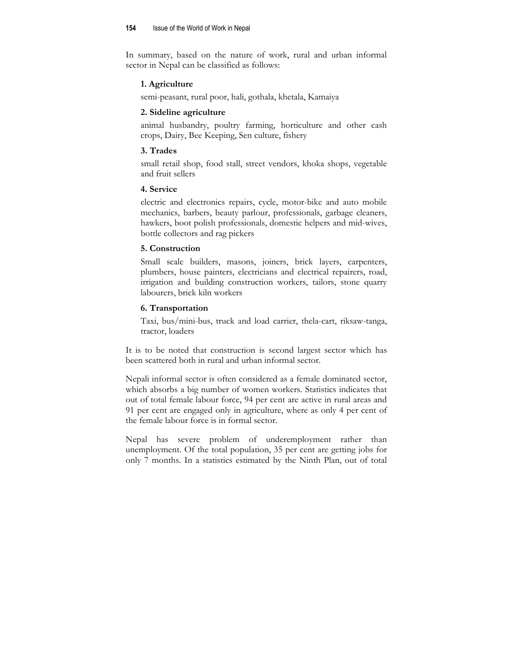In summary, based on the nature of work, rural and urban informal sector in Nepal can be classified as follows:

## **1. Agriculture**

semi-peasant, rural poor, hali, gothala, khetala, Kamaiya

#### **2. Sideline agriculture**

animal husbandry, poultry farming, horticulture and other cash crops, Dairy, Bee Keeping, Sen culture, fishery

## **3. Trades**

small retail shop, food stall, street vendors, khoka shops, vegetable and fruit sellers

## **4. Service**

electric and electronics repairs, cycle, motor-bike and auto mobile mechanics, barbers, beauty parlour, professionals, garbage cleaners, hawkers, boot polish professionals, domestic helpers and mid-wives, bottle collectors and rag pickers

## **5. Construction**

Small scale builders, masons, joiners, brick layers, carpenters, plumbers, house painters, electricians and electrical repairers, road, irrigation and building construction workers, tailors, stone quarry labourers, brick kiln workers

## **6. Transportation**

Taxi, bus/mini-bus, truck and load carrier, thela-cart, riksaw-tanga, tractor, loaders

It is to be noted that construction is second largest sector which has been scattered both in rural and urban informal sector.

Nepali informal sector is often considered as a female dominated sector, which absorbs a big number of women workers. Statistics indicates that out of total female labour force, 94 per cent are active in rural areas and 91 per cent are engaged only in agriculture, where as only 4 per cent of the female labour force is in formal sector.

Nepal has severe problem of underemployment rather than unemployment. Of the total population, 35 per cent are getting jobs for only 7 months. In a statistics estimated by the Ninth Plan, out of total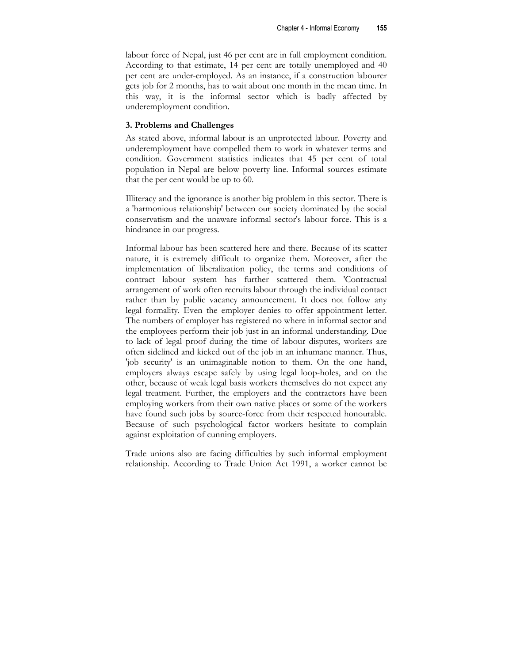labour force of Nepal, just 46 per cent are in full employment condition. According to that estimate, 14 per cent are totally unemployed and 40 per cent are under-employed. As an instance, if a construction labourer gets job for 2 months, has to wait about one month in the mean time. In this way, it is the informal sector which is badly affected by underemployment condition.

## **3. Problems and Challenges**

As stated above, informal labour is an unprotected labour. Poverty and underemployment have compelled them to work in whatever terms and condition. Government statistics indicates that 45 per cent of total population in Nepal are below poverty line. Informal sources estimate that the per cent would be up to 60.

Illiteracy and the ignorance is another big problem in this sector. There is a 'harmonious relationship' between our society dominated by the social conservatism and the unaware informal sector's labour force. This is a hindrance in our progress.

Informal labour has been scattered here and there. Because of its scatter nature, it is extremely difficult to organize them. Moreover, after the implementation of liberalization policy, the terms and conditions of contract labour system has further scattered them. 'Contractual arrangement of work often recruits labour through the individual contact rather than by public vacancy announcement. It does not follow any legal formality. Even the employer denies to offer appointment letter. The numbers of employer has registered no where in informal sector and the employees perform their job just in an informal understanding. Due to lack of legal proof during the time of labour disputes, workers are often sidelined and kicked out of the job in an inhumane manner. Thus, 'job security' is an unimaginable notion to them. On the one hand, employers always escape safely by using legal loop-holes, and on the other, because of weak legal basis workers themselves do not expect any legal treatment. Further, the employers and the contractors have been employing workers from their own native places or some of the workers have found such jobs by source-force from their respected honourable. Because of such psychological factor workers hesitate to complain against exploitation of cunning employers.

Trade unions also are facing difficulties by such informal employment relationship. According to Trade Union Act 1991, a worker cannot be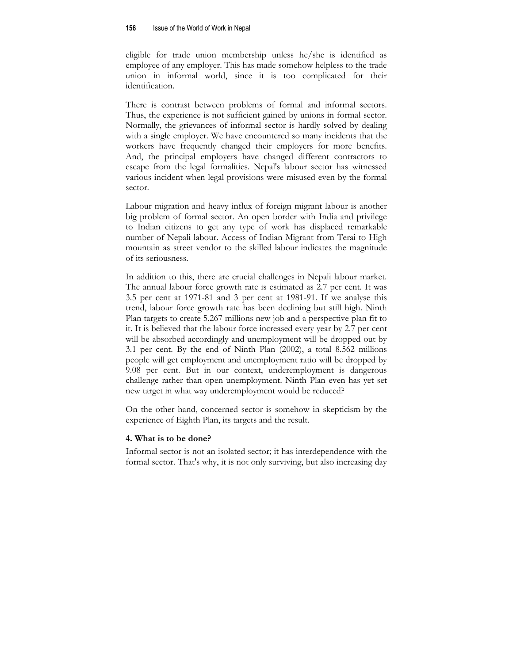eligible for trade union membership unless he/she is identified as employee of any employer. This has made somehow helpless to the trade union in informal world, since it is too complicated for their identification.

There is contrast between problems of formal and informal sectors. Thus, the experience is not sufficient gained by unions in formal sector. Normally, the grievances of informal sector is hardly solved by dealing with a single employer. We have encountered so many incidents that the workers have frequently changed their employers for more benefits. And, the principal employers have changed different contractors to escape from the legal formalities. Nepal's labour sector has witnessed various incident when legal provisions were misused even by the formal sector.

Labour migration and heavy influx of foreign migrant labour is another big problem of formal sector. An open border with India and privilege to Indian citizens to get any type of work has displaced remarkable number of Nepali labour. Access of Indian Migrant from Terai to High mountain as street vendor to the skilled labour indicates the magnitude of its seriousness.

In addition to this, there are crucial challenges in Nepali labour market. The annual labour force growth rate is estimated as 2.7 per cent. It was 3.5 per cent at 1971-81 and 3 per cent at 1981-91. If we analyse this trend, labour force growth rate has been declining but still high. Ninth Plan targets to create 5.267 millions new job and a perspective plan fit to it. It is believed that the labour force increased every year by 2.7 per cent will be absorbed accordingly and unemployment will be dropped out by 3.1 per cent. By the end of Ninth Plan (2002), a total 8.562 millions people will get employment and unemployment ratio will be dropped by 9.08 per cent. But in our context, underemployment is dangerous challenge rather than open unemployment. Ninth Plan even has yet set new target in what way underemployment would be reduced?

On the other hand, concerned sector is somehow in skepticism by the experience of Eighth Plan, its targets and the result.

#### **4. What is to be done?**

Informal sector is not an isolated sector; it has interdependence with the formal sector. That's why, it is not only surviving, but also increasing day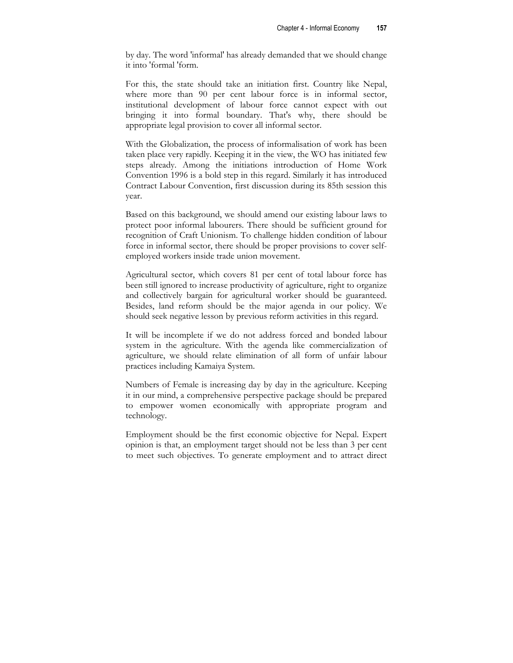by day. The word 'informal' has already demanded that we should change it into 'formal 'form.

For this, the state should take an initiation first. Country like Nepal, where more than 90 per cent labour force is in informal sector, institutional development of labour force cannot expect with out bringing it into formal boundary. That's why, there should be appropriate legal provision to cover all informal sector.

With the Globalization, the process of informalisation of work has been taken place very rapidly. Keeping it in the view, the WO has initiated few steps already. Among the initiations introduction of Home Work Convention 1996 is a bold step in this regard. Similarly it has introduced Contract Labour Convention, first discussion during its 85th session this year.

Based on this background, we should amend our existing labour laws to protect poor informal labourers. There should be sufficient ground for recognition of Craft Unionism. To challenge hidden condition of labour force in informal sector, there should be proper provisions to cover selfemployed workers inside trade union movement.

Agricultural sector, which covers 81 per cent of total labour force has been still ignored to increase productivity of agriculture, right to organize and collectively bargain for agricultural worker should be guaranteed. Besides, land reform should be the major agenda in our policy. We should seek negative lesson by previous reform activities in this regard.

It will be incomplete if we do not address forced and bonded labour system in the agriculture. With the agenda like commercialization of agriculture, we should relate elimination of all form of unfair labour practices including Kamaiya System.

Numbers of Female is increasing day by day in the agriculture. Keeping it in our mind, a comprehensive perspective package should be prepared to empower women economically with appropriate program and technology.

Employment should be the first economic objective for Nepal. Expert opinion is that, an employment target should not be less than 3 per cent to meet such objectives. To generate employment and to attract direct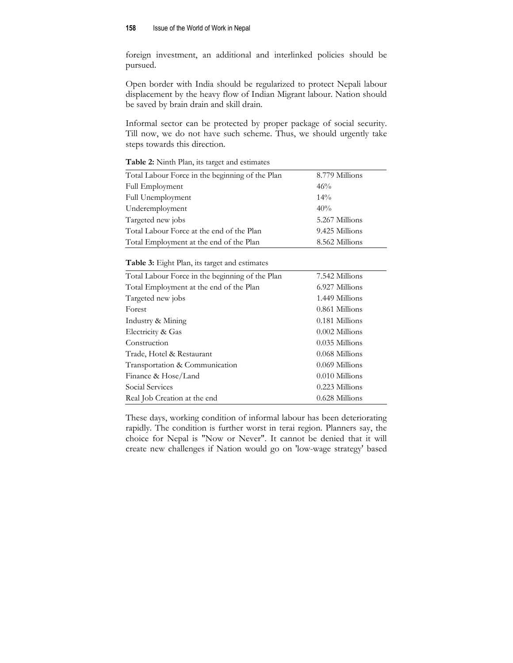foreign investment, an additional and interlinked policies should be pursued.

Open border with India should be regularized to protect Nepali labour displacement by the heavy flow of Indian Migrant labour. Nation should be saved by brain drain and skill drain.

Informal sector can be protected by proper package of social security. Till now, we do not have such scheme. Thus, we should urgently take steps towards this direction.

| 8.779 Millions |
|----------------|
| 46%            |
| $14\%$         |
| 40%            |
| 5.267 Millions |
| 9.425 Millions |
| 8.562 Millions |
|                |

**Table 2:** Ninth Plan, its target and estimates

| Table 3: Eight Plan, its target and estimates |  |  |  |
|-----------------------------------------------|--|--|--|
|-----------------------------------------------|--|--|--|

| 7.542 Millions   |
|------------------|
| 6.927 Millions   |
| 1.449 Millions   |
| $0.861$ Millions |
| $0.181$ Millions |
| $0.002$ Millions |
| $0.035$ Millions |
| $0.068$ Millions |
| $0.069$ Millions |
| $0.010$ Millions |
| 0.223 Millions   |
| $0.628$ Millions |
|                  |

These days, working condition of informal labour has been deteriorating rapidly. The condition is further worst in terai region. Planners say, the choice for Nepal is "Now or Never". It cannot be denied that it will create new challenges if Nation would go on 'low-wage strategy' based